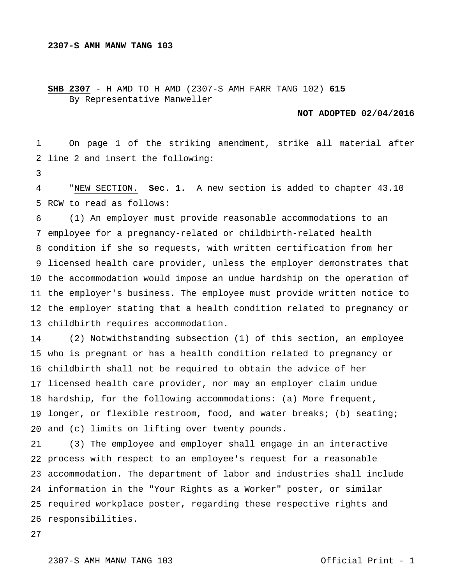## **SHB 2307** - H AMD TO H AMD (2307-S AMH FARR TANG 102) **615** By Representative Manweller

## **NOT ADOPTED 02/04/2016**

 line 2 and insert the following: On page 1 of the striking amendment, strike all material after

 RCW to read as follows: "NEW SECTION. **Sec. 1.** A new section is added to chapter 43.10

 employee for a pregnancy-related or childbirth-related health condition if she so requests, with written certification from her licensed health care provider, unless the employer demonstrates that the accommodation would impose an undue hardship on the operation of the employer's business. The employee must provide written notice to the employer stating that a health condition related to pregnancy or childbirth requires accommodation. (1) An employer must provide reasonable accommodations to an

 who is pregnant or has a health condition related to pregnancy or childbirth shall not be required to obtain the advice of her licensed health care provider, nor may an employer claim undue hardship, for the following accommodations: (a) More frequent, longer, or flexible restroom, food, and water breaks; (b) seating; and (c) limits on lifting over twenty pounds. (2) Notwithstanding subsection (1) of this section, an employee

 process with respect to an employee's request for a reasonable accommodation. The department of labor and industries shall include information in the "Your Rights as a Worker" poster, or similar required workplace poster, regarding these respective rights and responsibilities. (3) The employee and employer shall engage in an interactive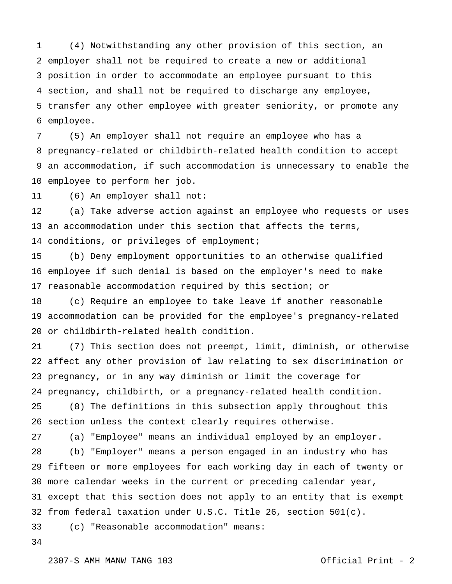employer shall not be required to create a new or additional position in order to accommodate an employee pursuant to this section, and shall not be required to discharge any employee, transfer any other employee with greater seniority, or promote any employee. (4) Notwithstanding any other provision of this section, an

 pregnancy-related or childbirth-related health condition to accept an accommodation, if such accommodation is unnecessary to enable the employee to perform her job. (5) An employer shall not require an employee who has a

 (6) An employer shall not:

 an accommodation under this section that affects the terms, conditions, or privileges of employment; (a) Take adverse action against an employee who requests or uses

 employee if such denial is based on the employer's need to make reasonable accommodation required by this section; or (b) Deny employment opportunities to an otherwise qualified

 accommodation can be provided for the employee's pregnancy-related or childbirth-related health condition. (c) Require an employee to take leave if another reasonable

 affect any other provision of law relating to sex discrimination or pregnancy, or in any way diminish or limit the coverage for pregnancy, childbirth, or a pregnancy-related health condition. (7) This section does not preempt, limit, diminish, or otherwise

 section unless the context clearly requires otherwise. (8) The definitions in this subsection apply throughout this

 (a) "Employee" means an individual employed by an employer.

 fifteen or more employees for each working day in each of twenty or more calendar weeks in the current or preceding calendar year, except that this section does not apply to an entity that is exempt from federal taxation under U.S.C. Title 26, section 501(c). (b) "Employer" means a person engaged in an industry who has

 (c) "Reasonable accommodation" means: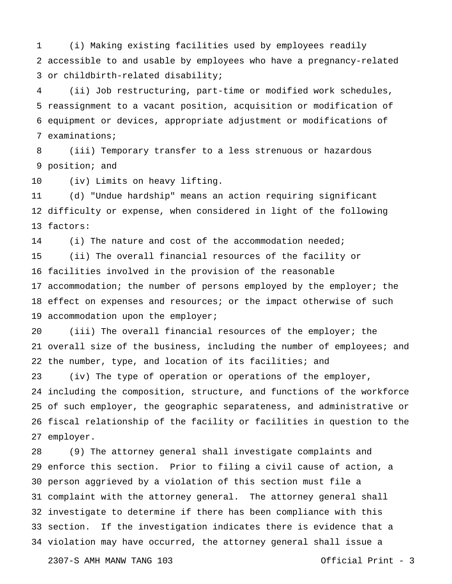accessible to and usable by employees who have a pregnancy-related or childbirth-related disability; (i) Making existing facilities used by employees readily

 reassignment to a vacant position, acquisition or modification of equipment or devices, appropriate adjustment or modifications of examinations; (ii) Job restructuring, part-time or modified work schedules,

 position; and (iii) Temporary transfer to a less strenuous or hazardous

 (iv) Limits on heavy lifting.

 difficulty or expense, when considered in light of the following factors: (d) "Undue hardship" means an action requiring significant

 (i) The nature and cost of the accommodation needed;

 facilities involved in the provision of the reasonable 17 accommodation; the number of persons employed by the employer; the 18 effect on expenses and resources; or the impact otherwise of such accommodation upon the employer; (ii) The overall financial resources of the facility or

 $20^{\circ}$  overall size of the business, including the number of employees; and the number, type, and location of its facilities; and (iii) The overall financial resources of the employer; the

 including the composition, structure, and functions of the workforce of such employer, the geographic separateness, and administrative or fiscal relationship of the facility or facilities in question to the employer. (iv) The type of operation or operations of the employer,

 enforce this section. Prior to filing a civil cause of action, a person aggrieved by a violation of this section must file a complaint with the attorney general. The attorney general shall investigate to determine if there has been compliance with this section. If the investigation indicates there is evidence that a violation may have occurred, the attorney general shall issue a (9) The attorney general shall investigate complaints and

2307-S AMH MANW TANG 103 Official Print - 3